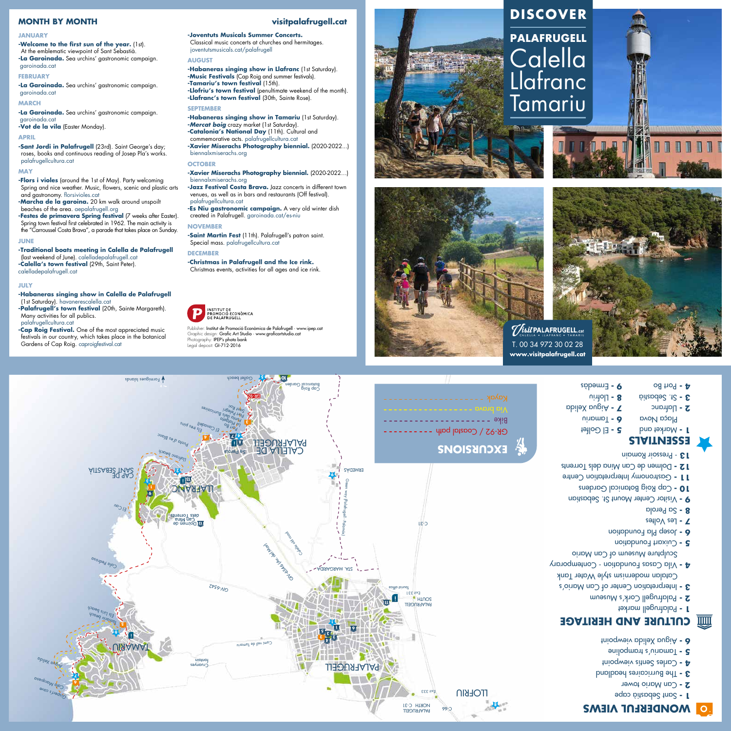# **visitpalafrugell.cat**

**<sup>1</sup>** LLAFRANC

**3**

**4**

el Canadell<br>Ll Canadell

**9**

**7 8**

Port Bo

p<sup>uur</sup> didel<sup>a</sup><br>La Platgeta Pa<sup>rt P</sup>elegri<br>Part Pelegri Sqnt Roc

Jul Book<br>Jul belegri<br>Julio dels Burricaires<br>Julio digela

**10**

**9**

**4**







**5**





**2**

siuano i

Tlafranc beach

**3**

Formigues lslands

C-31

**13**

ell <sub>tres</sub> pins<br><sup>Els tres</sup>



**www.visitpalafrugell.cat**

- 
- 
- 
- 

## **JANUARY**

**-Welcome to the first sun of the year.** (1st). At the emblematic viewpoint of Sant Sebastià. **-La Garoinada.** Sea urchins' gastronomic campaign. garoinada.cat

# **FEBRUARY**

**-La Garoinada.** Sea urchins' gastronomic campaign. garoinada.cat

## **MARCH**

**-La Garoinada.** Sea urchins' gastronomic campaign. garoinada.cat

**-Vot de la vila** (Easter Monday).

## **APRIL**

**-Festes de primavera Spring festival (7 weeks after Easter).** Spring town festival first celebrated in 1962. The main activity is the "Carroussel Costa Brava", a parade that takes place on Sunday.

**-Sant Jordi in Palafrugell** (23rd). Saint George's day; roses, books and continuous reading of Josep Pla's works. palafrugellcultura.cat

#### **MAY**

**-Flors i violes** (around the 1st of May). Party welcoming Spring and nice weather. Music, flowers, scenic and plastic arts and gastronomy. florsivioles.cat

**-Marcha de la garoina.** 20 km walk around unspoilt beaches of the area. aepalafrugell.org

## **JUNE**

**-Habaneras singing show in Tamariu** (1st Saturday). **-Mercat boig** crazy market (1st Saturday). **-Catalonia's National Day** (11th). Cultural and commemorative acts. palafrugellcultura.cat **-Xavier Miserachs Photography biennial.** (2020-2022...) biennalxmiserachs.org

**-Traditional boats meeting in Calella de Palafrugell**  (last weekend of June). calelladepalafrugell.cat **-Calella's town festival** (29th, Saint Peter). calelladepalafrugell.cat

## **JULY**

**-Saint Martin Fest** (11th). Palafrugell's patron saint. Special mass. palafrugellcultura.cat

**-Habaneras singing show in Calella de Palafrugell** (1st Saturday). havanerescalella.cat

**-Palafrugell's town festival** (20th, Sainte Margareth). Many activities for all publics. palafrugellcultura.cat

**-Cap Roig Festival.** One of the most appreciated music festivals in our country, which takes place in the botanical Gardens of Cap Roig. caproigfestival.cat

# **-Joventuts Musicals Summer Concerts.**

Classical music concerts at churches and hermitages. joventutsmusicals.cat/palafrugell

- Sculpture Museum of Can Mario
- Cuixart Foundation **5 -**
- 
- Josep Pla Foundation **6 -**

## **AUGUST**

**11 - Gastronomy Interpretation Centre** Dolmen de Can Mina dels Torrents **12 -**

 El Golfet **5 -**  $U$ in  $\alpha$ 

**-Habaneras singing show in Llafranc** (1st Saturday). **-Music Festivals** (Cap Roig and summer festivals). **-Tamariu's town festival** (15th). **-Llofriu's town festival** (penultimate weekend of the month). **-Llafranc's town festival** (30th, Sainte Rose).



# **SEPTEMBER**



## **OCTOBER**

## **-Xavier Miserachs Photography biennial.** (2020-2022…) biennalxmiserachs.org

**-Jazz Festival Costa Brava.** Jazz concerts in different town venues, as well as in bars and restaurants (Off festival). palafrugellcultura.cat

**-Es Niu gastronomic campaign.** A very old winter dish created in Palafrugell. garoinada.cat/es-niu

## **NOVEMBER**

#### **DECEMBER**

**-Christmas in Palafrugell and the Ice rink.** Christmas events, activities for all ages and ice rink.



# **MONTH BY MONTH**

Publisher: Institut de Promoció Econòmica de Palafrugell · www.ipep.cat Graphic design: Grafic Art Studio · www.graficartstudio.cat Photography: IPEP's photo bank Legal deposit: GI-712-2016

**EXCURSIONS**

GR-92 / Coastal path

Bike Via brava

**ESSENTIALS**

**1** - Market and **Plaça Nova** 

2 - Llatranc St. Sebastià



**CULTURE AND HERITAGE** Palafrugell market **1 -** Palafrugell Cork's Museum **2 -**  Interpretation Center of Can Mario's **3 -**



- Les Voltes **7 -**
- Sa Perola **8 -**
- Visitor Center Mount St. Sebastian **9 -**
- 
- Cap Roig Botanical Gardens **10 -**
- 
- 
- 
- 
- 
- 
- 
- 
- 
- 
- 
- 
- 
- 
- 
- 
- 
- 
- 
- 
- 
- 
- 
- 
- 

- Pressoir Romain **13** 

Port Bo **4 -** 

Aigua Xelida **7 -**

 Llofriu **8 -** Ermedàs **9 -**

El Cau

SANT SEBASTIÀ

Green way (Palafrugell - Palamós)

CALELLA DE PALAFRUGELL

Calendary Calendary

Cala Pedrosa

 $\overline{100}$ 

Punta d'es Blanc

Cap Roig Botanical Garden

ERMEDÀS

**AGISARIOARIDA**